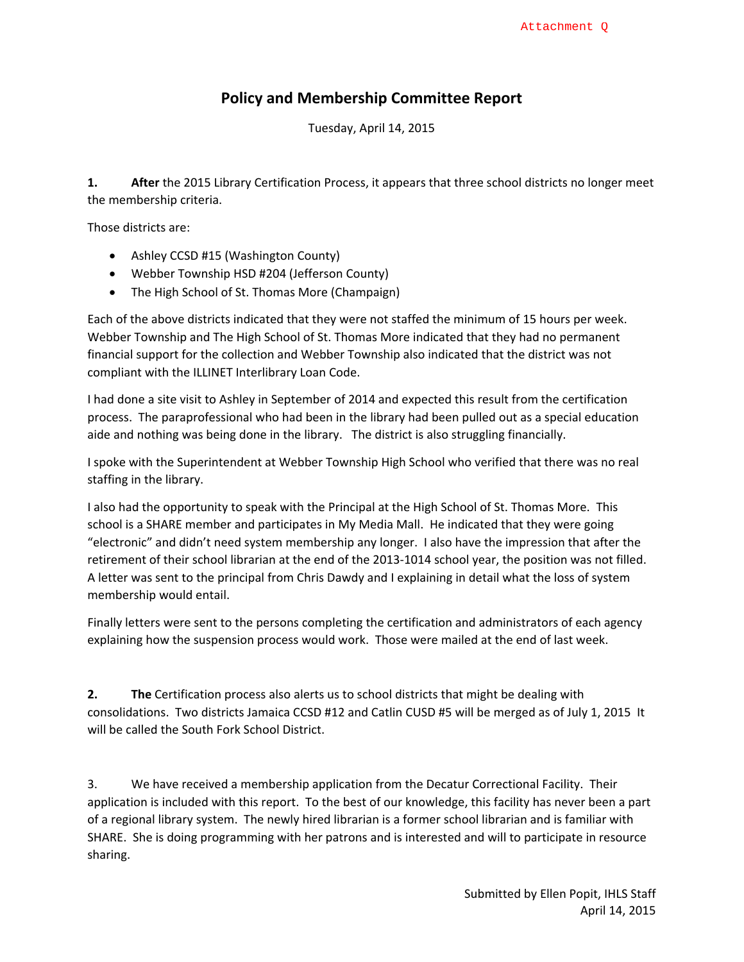#### **Policy and Membership Committee Report**

Tuesday, April 14, 2015

**1. After** the 2015 Library Certification Process, it appears that three school districts no longer meet the membership criteria.

Those districts are:

- Ashley CCSD #15 (Washington County)
- Webber Township HSD #204 (Jefferson County)
- The High School of St. Thomas More (Champaign)

Each of the above districts indicated that they were not staffed the minimum of 15 hours per week. Webber Township and The High School of St. Thomas More indicated that they had no permanent financial support for the collection and Webber Township also indicated that the district was not compliant with the ILLINET Interlibrary Loan Code.

I had done a site visit to Ashley in September of 2014 and expected this result from the certification process. The paraprofessional who had been in the library had been pulled out as a special education aide and nothing was being done in the library. The district is also struggling financially.

I spoke with the Superintendent at Webber Township High School who verified that there was no real staffing in the library.

I also had the opportunity to speak with the Principal at the High School of St. Thomas More. This school is a SHARE member and participates in My Media Mall. He indicated that they were going "electronic" and didn't need system membership any longer. I also have the impression that after the retirement of their school librarian at the end of the 2013‐1014 school year, the position was not filled. A letter was sent to the principal from Chris Dawdy and I explaining in detail what the loss of system membership would entail.

Finally letters were sent to the persons completing the certification and administrators of each agency explaining how the suspension process would work. Those were mailed at the end of last week.

**2. The** Certification process also alerts us to school districts that might be dealing with consolidations. Two districts Jamaica CCSD #12 and Catlin CUSD #5 will be merged as of July 1, 2015 It will be called the South Fork School District.

3. We have received a membership application from the Decatur Correctional Facility. Their application is included with this report. To the best of our knowledge, this facility has never been a part of a regional library system. The newly hired librarian is a former school librarian and is familiar with SHARE. She is doing programming with her patrons and is interested and will to participate in resource sharing.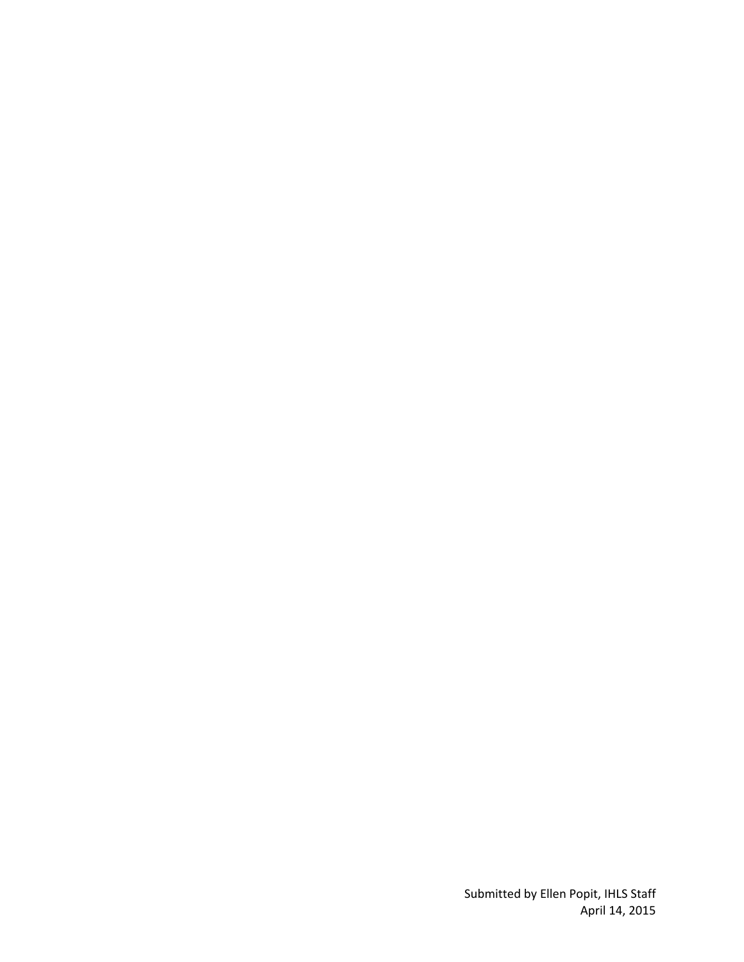Submitted by Ellen Popit, IHLS Staff April 14, 2015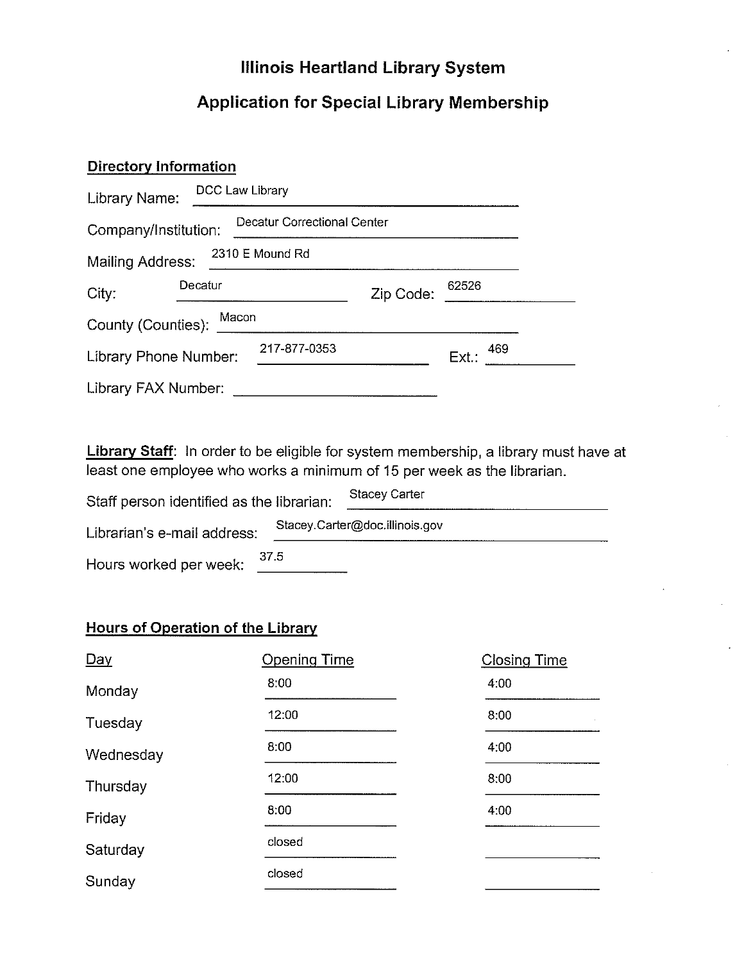## **Illinois Heartland Library System**

## **Application for Special Library Membership**

# **Directory Information**

| Library Name:               | DCC Law Library |                             |           |                 |  |
|-----------------------------|-----------------|-----------------------------|-----------|-----------------|--|
| Company/Institution:        |                 | Decatur Correctional Center |           |                 |  |
| <b>Mailing Address:</b>     |                 | 2310 E Mound Rd             |           |                 |  |
| City:                       | Decatur         |                             | Zip Code: | 62526           |  |
| Macon<br>County (Counties): |                 |                             |           |                 |  |
| Library Phone Number:       |                 | 217-877-0353                |           | 469<br>$Ext.$ : |  |
| Library FAX Number:         |                 |                             |           |                 |  |

Library Staff: In order to be eligible for system membership, a library must have at least one employee who works a minimum of 15 per week as the librarian.

| Staff person identified as the librarian: | <b>Stacey Carter</b>           |
|-------------------------------------------|--------------------------------|
| Librarian's e-mail address:               | Stacey.Carter@doc.illinois.gov |
| 37.5<br>Hours worked per week:            |                                |

### **Hours of Operation of the Library**

| $Day$     | <b>Opening Time</b> | <b>Closing Time</b> |
|-----------|---------------------|---------------------|
| Monday    | 8:00                | 4:00                |
| Tuesday   | 12:00               | 8:00                |
| Wednesday | 8:00                | 4:00                |
| Thursday  | 12:00               | 8:00                |
| Friday    | 8:00                | 4:00                |
| Saturday  | closed              |                     |
| Sunday    | closed              |                     |